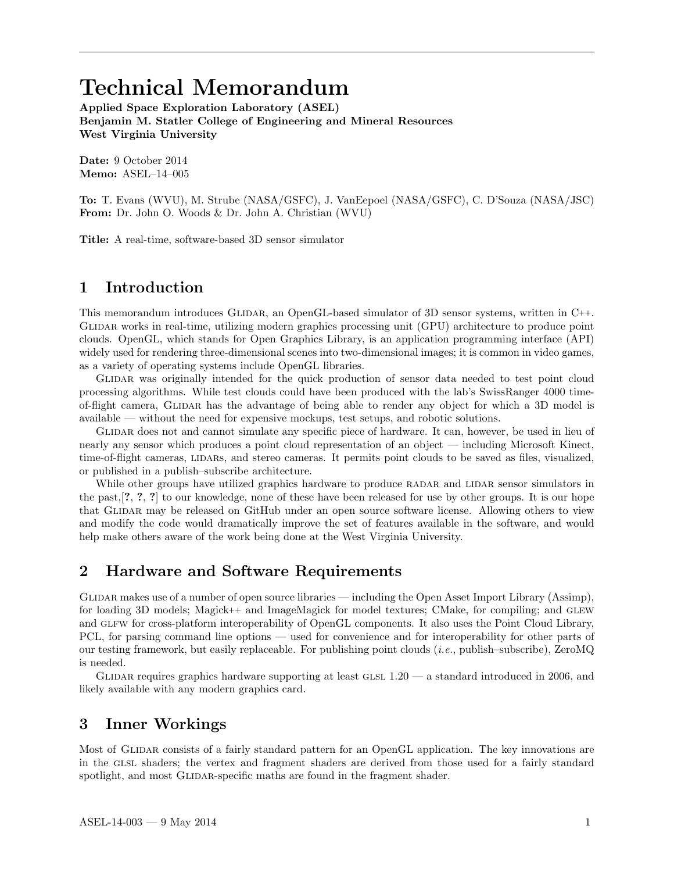# Technical Memorandum

Applied Space Exploration Laboratory (ASEL) Benjamin M. Statler College of Engineering and Mineral Resources West Virginia University

Date: 9 October 2014 Memo: ASEL–14–005

To: T. Evans (WVU), M. Strube (NASA/GSFC), J. VanEepoel (NASA/GSFC), C. D'Souza (NASA/JSC) From: Dr. John O. Woods & Dr. John A. Christian (WVU)

Title: A real-time, software-based 3D sensor simulator

#### 1 Introduction

This memorandum introduces GLIDAR, an OpenGL-based simulator of 3D sensor systems, written in C++. Glidar works in real-time, utilizing modern graphics processing unit (GPU) architecture to produce point clouds. OpenGL, which stands for Open Graphics Library, is an application programming interface (API) widely used for rendering three-dimensional scenes into two-dimensional images; it is common in video games, as a variety of operating systems include OpenGL libraries.

Glidar was originally intended for the quick production of sensor data needed to test point cloud processing algorithms. While test clouds could have been produced with the lab's SwissRanger 4000 timeof-flight camera, GLIDAR has the advantage of being able to render any object for which a 3D model is available — without the need for expensive mockups, test setups, and robotic solutions.

Glidar does not and cannot simulate any specific piece of hardware. It can, however, be used in lieu of nearly any sensor which produces a point cloud representation of an object — including Microsoft Kinect, time-of-flight cameras, LIDARs, and stereo cameras. It permits point clouds to be saved as files, visualized, or published in a publish–subscribe architecture.

While other groups have utilized graphics hardware to produce RADAR and LIDAR sensor simulators in the past,[?, ?, ?] to our knowledge, none of these have been released for use by other groups. It is our hope that Glidar may be released on GitHub under an open source software license. Allowing others to view and modify the code would dramatically improve the set of features available in the software, and would help make others aware of the work being done at the West Virginia University.

#### 2 Hardware and Software Requirements

GLIDAR makes use of a number of open source libraries — including the Open Asset Import Library (Assimp), for loading 3D models; Magick++ and ImageMagick for model textures; CMake, for compiling; and GLEW and GLFW for cross-platform interoperability of OpenGL components. It also uses the Point Cloud Library, PCL, for parsing command line options — used for convenience and for interoperability for other parts of our testing framework, but easily replaceable. For publishing point clouds (*i.e.*, publish–subscribe), ZeroMQ is needed.

GLIDAR requires graphics hardware supporting at least GLSL  $1.20 - a$  standard introduced in 2006, and likely available with any modern graphics card.

#### 3 Inner Workings

Most of GLIDAR consists of a fairly standard pattern for an OpenGL application. The key innovations are in the glsl shaders; the vertex and fragment shaders are derived from those used for a fairly standard spotlight, and most GLIDAR-specific maths are found in the fragment shader.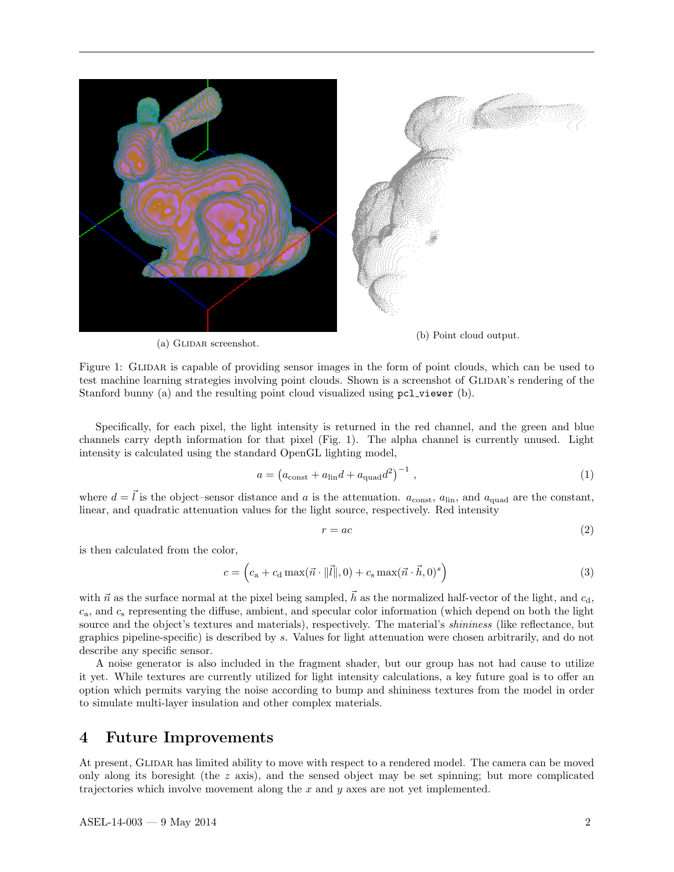

(a) GLIDAR screenshot.

(b) Point cloud output.

Figure 1: GLIDAR is capable of providing sensor images in the form of point clouds, which can be used to test machine learning strategies involving point clouds. Shown is a screenshot of GLIDAR's rendering of the Stanford bunny (a) and the resulting point cloud visualized using pcl\_viewer (b).

Specifically, for each pixel, the light intensity is returned in the red channel, and the green and blue channels carry depth information for that pixel (Fig. 1). The alpha channel is currently unused. Light intensity is calculated using the standard OpenGL lighting model,

$$
a = \left(a_{\text{const}} + a_{\text{lin}}d + a_{\text{quad}}d^2\right)^{-1},\tag{1}
$$

where  $d = \vec{l}$  is the object–sensor distance and a is the attenuation.  $a_{\text{const}}$ ,  $a_{\text{lin}}$ , and  $a_{\text{quad}}$  are the constant, linear, and quadratic attenuation values for the light source, respectively. Red intensity

$$
r = ac \tag{2}
$$

is then calculated from the color,

$$
c = \left(c_{\mathbf{a}} + c_{\mathbf{d}} \max(\vec{n} \cdot ||\vec{l}||, 0) + c_{\mathbf{s}} \max(\vec{n} \cdot \vec{h}, 0)^{s}\right)
$$
\n(3)

with  $\vec{n}$  as the surface normal at the pixel being sampled,  $\vec{h}$  as the normalized half-vector of the light, and  $c_{\rm d}$ ,  $c_a$ , and  $c_s$  representing the diffuse, ambient, and specular color information (which depend on both the light source and the object's textures and materials), respectively. The material's *shininess* (like reflectance, but graphics pipeline-specific) is described by s. Values for light attenuation were chosen arbitrarily, and do not describe any specific sensor.

A noise generator is also included in the fragment shader, but our group has not had cause to utilize it yet. While textures are currently utilized for light intensity calculations, a key future goal is to offer an option which permits varying the noise according to bump and shininess textures from the model in order to simulate multi-layer insulation and other complex materials.

#### 4 Future Improvements

At present, GLIDAR has limited ability to move with respect to a rendered model. The camera can be moved only along its boresight (the  $z$  axis), and the sensed object may be set spinning; but more complicated trajectories which involve movement along the x and  $y$  axes are not yet implemented.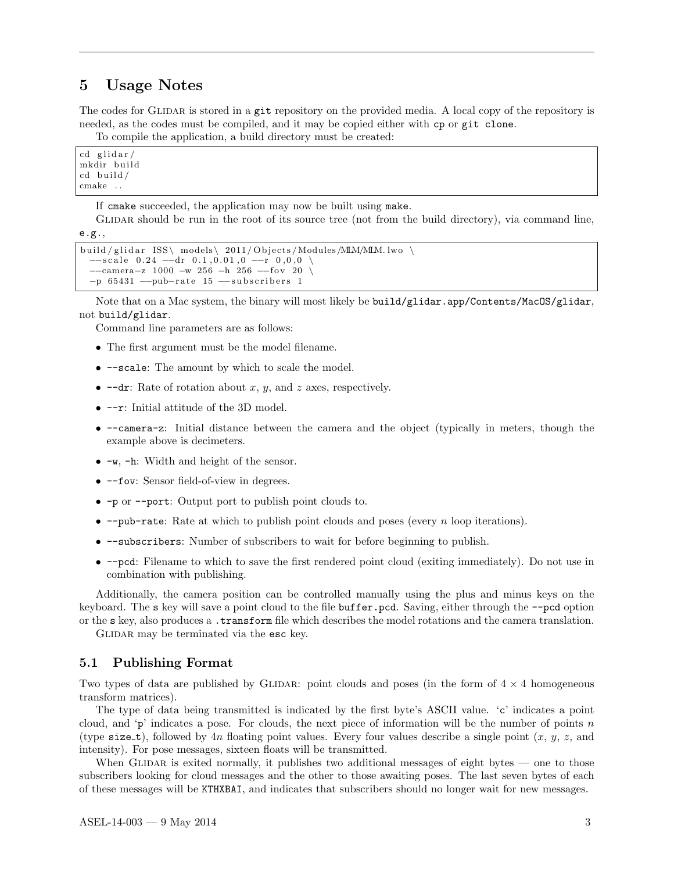#### 5 Usage Notes

The codes for GLIDAR is stored in a git repository on the provided media. A local copy of the repository is needed, as the codes must be compiled, and it may be copied either with cp or git clone.

To compile the application, a build directory must be created:

 $cd$  glidar/ mkdir build  $cd$  build / cmake . .

If cmake succeeded, the application may now be built using make.

GLIDAR should be run in the root of its source tree (not from the build directory), via command line, e.g.,

```
build / glidar ISS\ models\ 2011/ Objects / Modules /MLM/MLM. lwo \
−−scale 0.24 −−dr 0.1,0.01,0 −−r 0,0,0 \
−−camera−z 1000 −w 256 −h 256 −−f o v 20 \
−p 65431 -- pub-rate 15 -- subscribers 1
```
Note that on a Mac system, the binary will most likely be build/glidar.app/Contents/MacOS/glidar, not build/glidar.

Command line parameters are as follows:

- The first argument must be the model filename.
- --scale: The amount by which to scale the model.
- $\bullet$  --dr: Rate of rotation about x, y, and z axes, respectively.
- --r: Initial attitude of the 3D model.
- --camera-z: Initial distance between the camera and the object (typically in meters, though the example above is decimeters.
- -w, -h: Width and height of the sensor.
- $-\text{fov: Sensor field-of-view in degrees.}$
- -p or --port: Output port to publish point clouds to.
- $\text{-}$ -pub-rate: Rate at which to publish point clouds and poses (every n loop iterations).
- --subscribers: Number of subscribers to wait for before beginning to publish.
- --pcd: Filename to which to save the first rendered point cloud (exiting immediately). Do not use in combination with publishing.

Additionally, the camera position can be controlled manually using the plus and minus keys on the keyboard. The s key will save a point cloud to the file buffer.pcd. Saving, either through the --pcd option or the s key, also produces a .transform file which describes the model rotations and the camera translation.

GLIDAR may be terminated via the esc key.

#### 5.1 Publishing Format

Two types of data are published by GLIDAR: point clouds and poses (in the form of  $4 \times 4$  homogeneous transform matrices).

The type of data being transmitted is indicated by the first byte's ASCII value. 'c' indicates a point cloud, and 'p' indicates a pose. For clouds, the next piece of information will be the number of points n (type size\_t), followed by 4n floating point values. Every four values describe a single point  $(x, y, z,$  and intensity). For pose messages, sixteen floats will be transmitted.

When GLIDAR is exited normally, it publishes two additional messages of eight bytes  $\sim$  one to those subscribers looking for cloud messages and the other to those awaiting poses. The last seven bytes of each of these messages will be KTHXBAI, and indicates that subscribers should no longer wait for new messages.